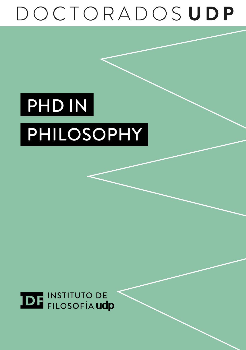# DOCTORADOSUDP

# PHD IN PHILOSOPHY

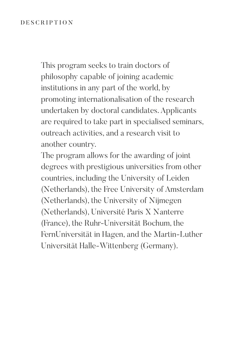## DESCRIPTION

This program seeks to train doctors of philosophy capable of joining academic institutions in any part of the world, by promoting internationalisation of the research undertaken by doctoral candidates. Applicants are required to take part in specialised seminars, outreach activities, and a research visit to another country.

The program allows for the awarding of joint degrees with prestigious universities from other countries, including the University of Leiden (Netherlands), the Free University of Amsterdam (Netherlands), the University of Nijmegen (Netherlands), Université Paris X Nanterre (France), the Ruhr-Universität Bochum, the FernUniversität in Hagen, and the Martin-Luther Universität Halle-Wittenberg (Germany).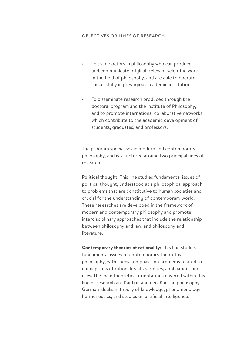### OBJECTIVES OR LINES OF RESEARCH

- To train doctors in philosophy who can produce and communicate original, relevant scientific work in the field of philosophy, and are able to operate successfully in prestigious academic institutions.
- To disseminate research produced through the doctoral program and the Institute of Philosophy, and to promote international collaborative networks which contribute to the academic development of students, graduates, and professors.

The program specialises in modern and contemporary philosophy, and is structured around two principal lines of research:

**Political thought:** This line studies fundamental issues of political thought, understood as a philosophical approach to problems that are constitutive to human societies and crucial for the understanding of contemporary world. These researches are developed in the framework of modern and contemporary philosophy and promote interdisciplinary approaches that include the relationship between philosophy and law, and philosophy and literature.

**Contemporary theories of rationality:** This line studies fundamental issues of contemporary theoretical philosophy, with special emphasis on problems related to conceptions of rationality, its varieties, applications and uses. The main theoretical orientations covered within this line of research are Kantian and neo-Kantian philosophy, German idealism, theory of knowledge, phenomenology, hermeneutics, and studies on artificial intelligence.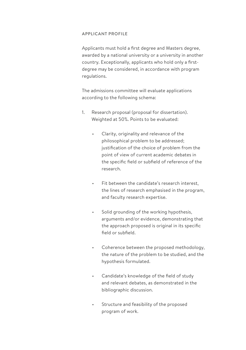#### APPLICANT PROFILE

Applicants must hold a first degree and Masters degree, awarded by a national university or a university in another country. Exceptionally, applicants who hold only a firstdegree may be considered, in accordance with program regulations.

The admissions committee will evaluate applications according to the following schema:

- 1. Research proposal (proposal for dissertation). Weighted at 50%. Points to be evaluated:
	- Clarity, originality and relevance of the philosophical problem to be addressed; justification of the choice of problem from the point of view of current academic debates in the specific field or subfield of reference of the research.
	- Fit between the candidate's research interest, the lines of research emphasised in the program, and faculty research expertise.
	- Solid grounding of the working hypothesis, arguments and/or evidence, demonstrating that the approach proposed is original in its specific field or subfield.
	- Coherence between the proposed methodology, the nature of the problem to be studied, and the hypothesis formulated.
	- Candidate's knowledge of the field of study and relevant debates, as demonstrated in the bibliographic discussion.
	- Structure and feasibility of the proposed program of work.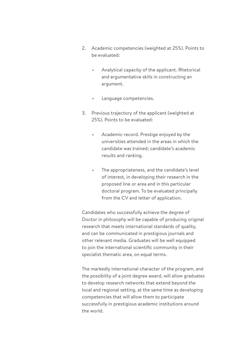- 2. Academic competencies (weighted at 25%). Points to be evaluated:
	- Analytical capacity of the applicant. Rhetorical and argumentative skills in constructing an argument.
	- Language competencies.
- 3. Previous trajectory of the applicant (weighted at 25%). Points to be evaluated:
	- Academic record. Prestige enjoyed by the universities attended in the areas in which the candidate was trained; candidate's academic results and ranking.
	- The appropriateness, and the candidate's level of interest, in developing their research in the proposed line or area and in this particular doctoral program. To be evaluated principally from the CV and letter of application.

Candidates who successfully achieve the degree of Doctor in philosophy will be capable of producing original research that meets international standards of quality, and can be communicated in prestigious journals and other relevant media. Graduates will be well equipped to join the international scientific community in their specialist thematic area, on equal terms.

The markedly international character of the program, and the possibility of a joint degree award, will allow graduates to develop research networks that extend beyond the local and regional setting, at the same time as developing competencies that will allow them to participate successfully in prestigious academic institutions around the world.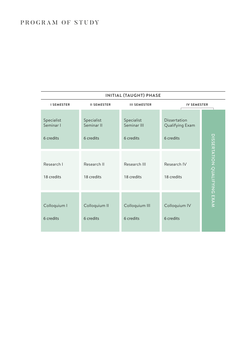# PROGRAM OF STUDY

| INITIAL (TAUGHT) PHASE |                    |                     |                    |                              |  |  |
|------------------------|--------------------|---------------------|--------------------|------------------------------|--|--|
| <b>I SEMESTER</b>      | <b>II SEMESTER</b> | <b>III SEMESTER</b> | <b>IV SEMESTER</b> |                              |  |  |
| Specialist             | Specialist         | Specialist          | Dissertation       |                              |  |  |
| Seminar I              | Seminar II         | Seminar III         | Qualifying Exam    |                              |  |  |
| 6 credits              | 6 credits          | 6 credits           | 6 credits          |                              |  |  |
| Research I             | Research II        | Research III        | Research IV        | DISSERTATION QUALIFYING EXAM |  |  |
| 18 credits             | 18 credits         | 18 credits          | 18 credits         |                              |  |  |
| Colloquium I           | Colloquium II      | Colloquium III      | Colloquium IV      |                              |  |  |
| 6 credits              | 6 credits          | 6 credits           | 6 credits          |                              |  |  |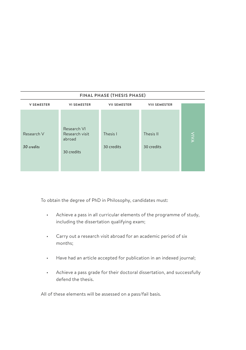| FINAL PHASE (THESIS PHASE) |                          |                     |                      |             |  |  |
|----------------------------|--------------------------|---------------------|----------------------|-------------|--|--|
| <b>V SEMESTER</b>          | <b>VI SEMESTER</b>       | <b>VII SEMESTER</b> | <b>VIII SEMESTER</b> |             |  |  |
|                            |                          |                     |                      |             |  |  |
|                            | Research VI              |                     |                      |             |  |  |
| Research V                 | Research visit<br>abroad | Thesis I            | Thesis II            | <b>NIVA</b> |  |  |
| 30 credits                 | 30 credits               | 30 credits          | 30 credits           |             |  |  |
|                            |                          |                     |                      |             |  |  |
|                            |                          |                     |                      |             |  |  |

To obtain the degree of PhD in Philosophy, candidates must:

- Achieve a pass in all curricular elements of the programme of study, including the dissertation qualifying exam;
- Carry out a research visit abroad for an academic period of six months;
- Have had an article accepted for publication in an indexed journal;
- Achieve a pass grade for their doctoral dissertation, and successfully defend the thesis.

All of these elements will be assessed on a pass/fail basis.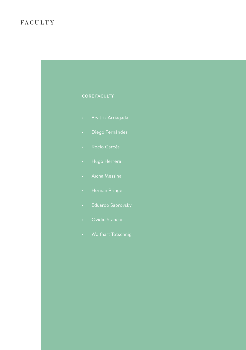# FACULTY

## **CORE FACULTY**

- Beatriz Arriagada
- 
- 
- 
- 
- 
- 
- 
-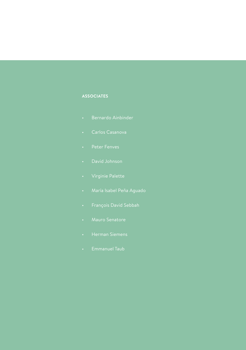### **ASSOCIATES**

- 
- Carlos Casanova
- 
- 
- 
- 
- 
- 
- 
-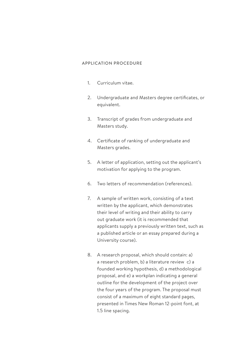### APPLICATION PROCEDURE

- 1. Curriculum vitae.
- 2. Undergraduate and Masters degree certificates, or equivalent.
- 3. Transcript of grades from undergraduate and Masters study.
- 4. Certificate of ranking of undergraduate and Masters grades.
- 5. A letter of application, setting out the applicant's motivation for applying to the program.
- 6. Two letters of recommendation (references).
- 7. A sample of written work, consisting of a text written by the applicant, which demonstrates their level of writing and their ability to carry out graduate work (it is recommended that applicants supply a previously written text, such as a published article or an essay prepared during a University course).
- 8. A research proposal, which should contain: a) a research problem, b) a literature review c) a founded working hypothesis, d) a methodological proposal, and e) a workplan indicating a general outline for the development of the project over the four years of the program. The proposal must consist of a maximum of eight standard pages, presented in Times New Roman 12-point font, at 1.5 line spacing.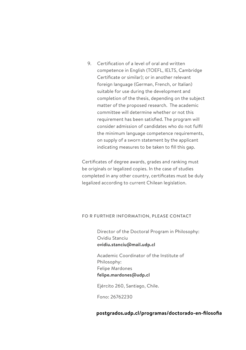9. Certification of a level of oral and written competence in English (TOEFL, IELTS, Cambridge Certificate or similar); or in another relevant foreign language (German, French, or Italian) suitable for use during the development and completion of the thesis, depending on the subject matter of the proposed research. The academic committee will determine whether or not this requirement has been satisfied. The program will consider admission of candidates who do not fulfil the minimum language competence requirements, on supply of a sworn statement by the applicant indicating measures to be taken to fill this gap.

Certificates of degree awards, grades and ranking must be originals or legalized copies. In the case of studies completed in any other country, certificates must be duly legalized according to current Chilean legislation.

#### FO R FURTHER INFORMATION, PLEASE CONTACT

Director of the Doctoral Program in Philosophy: Ovidiu Stanciu **ovidiu.stanciu@mail.udp.cl** 

Academic Coordinator of the Institute of Philosophy: Felipe Mardones **felipe.mardones@udp.cl**

Ejército 260, Santiago, Chile.

Fono: 26762230

### **[postgrados.udp.cl/programas/doctorado-en-filosofia](http://postgrados.udp.cl/programas/doctorado-en-filosofia)**